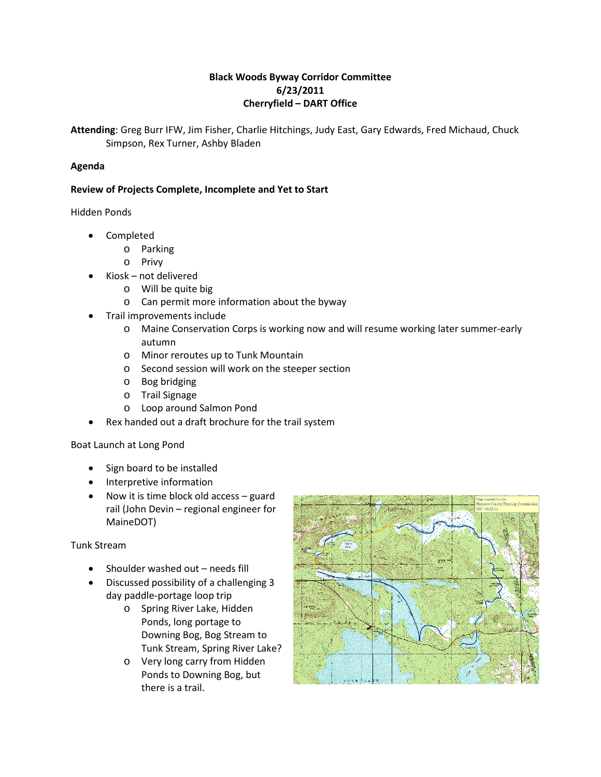# **Black Woods Byway Corridor Committee 6/23/2011 Cherryfield – DART Office**

**Attending**: Greg Burr IFW, Jim Fisher, Charlie Hitchings, Judy East, Gary Edwards, Fred Michaud, Chuck Simpson, Rex Turner, Ashby Bladen

# **Agenda**

# **Review of Projects Complete, Incomplete and Yet to Start**

Hidden Ponds

- Completed
	- o Parking
	- o Privy
- Kiosk not delivered
	- o Will be quite big
	- o Can permit more information about the byway
- Trail improvements include
	- o Maine Conservation Corps is working now and will resume working later summer-early autumn
	- o Minor reroutes up to Tunk Mountain
	- o Second session will work on the steeper section
	- o Bog bridging
	- o Trail Signage
	- o Loop around Salmon Pond
- Rex handed out a draft brochure for the trail system

Boat Launch at Long Pond

- Sign board to be installed
- Interpretive information
- Now it is time block old access guard rail (John Devin – regional engineer for MaineDOT)

# Tunk Stream

- Shoulder washed out needs fill
- Discussed possibility of a challenging 3 day paddle-portage loop trip
	- o Spring River Lake, Hidden Ponds, long portage to Downing Bog, Bog Stream to Tunk Stream, Spring River Lake?
	- o Very long carry from Hidden Ponds to Downing Bog, but there is a trail.

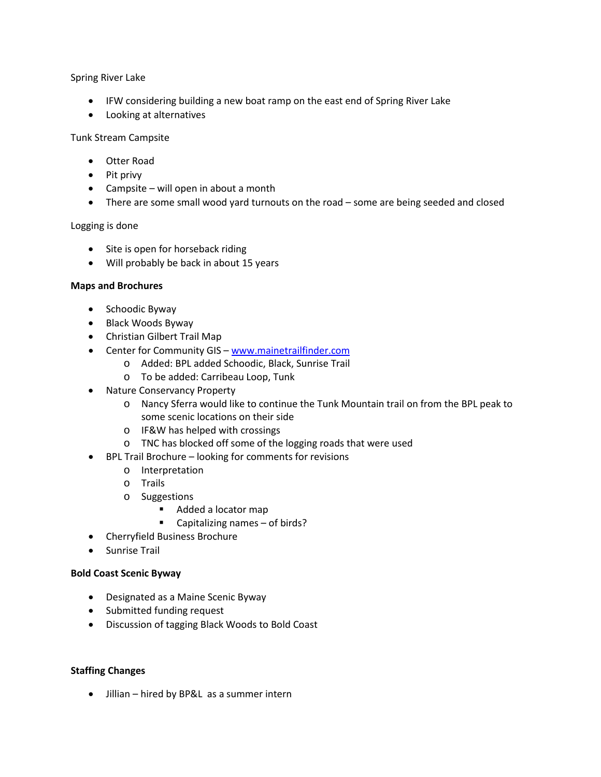# Spring River Lake

- IFW considering building a new boat ramp on the east end of Spring River Lake
- Looking at alternatives

# Tunk Stream Campsite

- Otter Road
- Pit privy
- Campsite will open in about a month
- There are some small wood yard turnouts on the road some are being seeded and closed

#### Logging is done

- Site is open for horseback riding
- Will probably be back in about 15 years

# **Maps and Brochures**

- Schoodic Byway
- Black Woods Byway
- Christian Gilbert Trail Map
- Center for Community GIS [www.mainetrailfinder.com](http://www.mainetrailfinder.com/)
	- o Added: BPL added Schoodic, Black, Sunrise Trail
	- o To be added: Carribeau Loop, Tunk
- Nature Conservancy Property
	- o Nancy Sferra would like to continue the Tunk Mountain trail on from the BPL peak to some scenic locations on their side
	- o IF&W has helped with crossings
	- o TNC has blocked off some of the logging roads that were used
- BPL Trail Brochure looking for comments for revisions
	- o Interpretation
	- o Trails
	- o Suggestions
		- Added a locator map
		- Capitalizing names of birds?
- Cherryfield Business Brochure
- Sunrise Trail

# **Bold Coast Scenic Byway**

- Designated as a Maine Scenic Byway
- Submitted funding request
- Discussion of tagging Black Woods to Bold Coast

# **Staffing Changes**

• Jillian – hired by BP&L as a summer intern